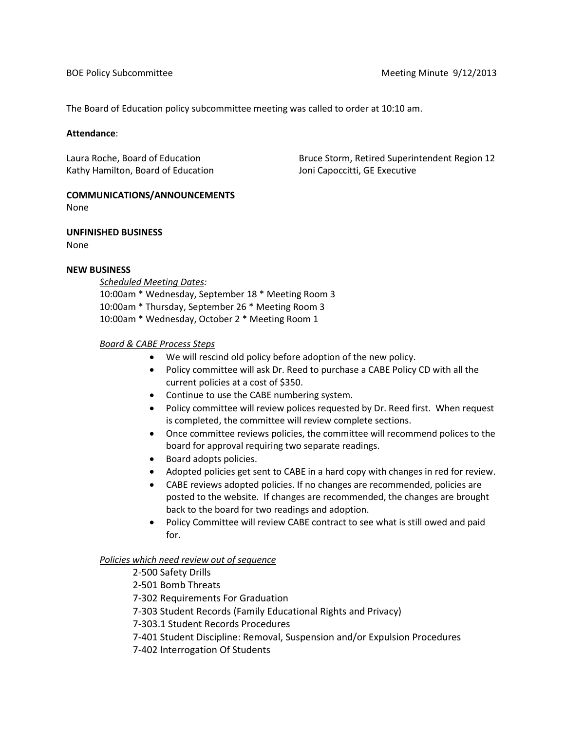The Board of Education policy subcommittee meeting was called to order at 10:10 am.

### **Attendance**:

Kathy Hamilton, Board of Education Theorem Joni Capoccitti, GE Executive

Laura Roche, Board of Education Bruce Storm, Retired Superintendent Region 12

#### **COMMUNICATIONS/ANNOUNCEMENTS** None

**UNFINISHED BUSINESS**

None

### **NEW BUSINESS**

*Scheduled Meeting Dates:* 10:00am \* Wednesday, September 18 \* Meeting Room 3 10:00am \* Thursday, September 26 \* Meeting Room 3 10:00am \* Wednesday, October 2 \* Meeting Room 1

# *Board & CABE Process Steps*

- We will rescind old policy before adoption of the new policy.
- Policy committee will ask Dr. Reed to purchase a CABE Policy CD with all the current policies at a cost of \$350.
- Continue to use the CABE numbering system.
- Policy committee will review polices requested by Dr. Reed first. When request is completed, the committee will review complete sections.
- Once committee reviews policies, the committee will recommend polices to the board for approval requiring two separate readings.
- Board adopts policies.
- Adopted policies get sent to CABE in a hard copy with changes in red for review.
- CABE reviews adopted policies. If no changes are recommended, policies are posted to the website. If changes are recommended, the changes are brought back to the board for two readings and adoption.
- Policy Committee will review CABE contract to see what is still owed and paid for.

# *Policies which need review out of sequence*

- 2-500 Safety Drills
- 2-501 Bomb Threats
- 7-302 Requirements For Graduation
- 7-303 Student Records (Family Educational Rights and Privacy)

7-303.1 Student Records Procedures

- 7-401 Student Discipline: Removal, Suspension and/or Expulsion Procedures
- 7-402 Interrogation Of Students